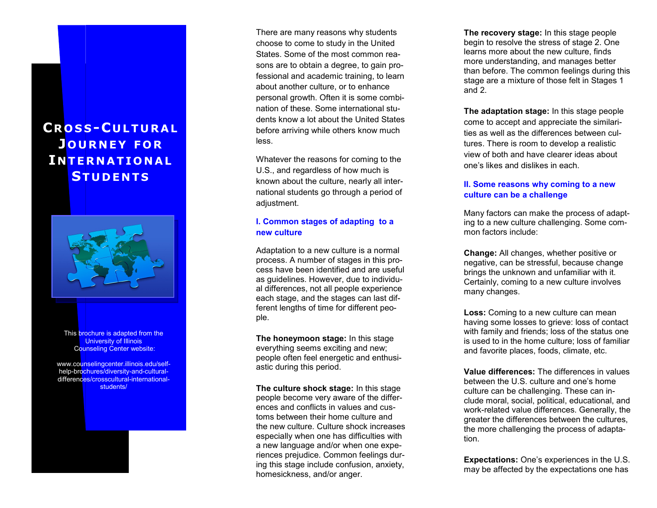# **CR O S S - C U L T U R A L J O U R N E Y F O R I N T E R N A T I O N A L ST U D E N T S**



This brochure is adapted from the **University of Illinois** Counseling Center website:

www.counselingcenter.illinois.edu/selfhelp-brochures/diversity-and-culturaldifferences/crosscultural-internationalstudents/

There are many reasons why students choose to come to study in the United States. Some of the most common reasons are to obtain a degree, to gain professional and academic training, to learn about another culture, or to enhance personal growth. Often it is some combination of these. Some international students know a lot about the United States before arriving while others know much less.

Whatever the reasons for coming to the U.S., and regardless of how much is known about the culture, nearly all international students go through a period of adjustment.

#### **I. Common stages of adapting to a new culture**

Adaptation to a new culture is a normal process. A number of stages in this process have been identified and are useful as guidelines. However, due to individual differences, not all people experience each stage, and the stages can last different lengths of time for different people.

**The honeymoon stage:** In this stage everything seems exciting and new; people often feel energetic and enthusiastic during this period.

**The culture shock stage:** In this stage people become very aware of the differences and conflicts in values and customs between their home culture and the new culture. Culture shock increases especially when one has difficulties with a new language and/or when one experiences prejudice. Common feelings during this stage include confusion, anxiety, homesickness, and/or anger.

**The recovery stage:** In this stage people begin to resolve the stress of stage 2. One learns more about the new culture, finds more understanding, and manages better than before. The common feelings during this stage are a mixture of those felt in Stages 1 and 2.

**The adaptation stage:** In this stage people come to accept and appreciate the similarities as well as the differences between cultures. There is room to develop a realistic view of both and have clearer ideas about one's likes and dislikes in each.

### **II. Some reasons why coming to a new culture can be a challenge**

Many factors can make the process of adapting to a new culture challenging. Some common factors include:

**Change:** All changes, whether positive or negative, can be stressful, because change brings the unknown and unfamiliar with it. Certainly, coming to a new culture involves many changes.

**Loss:** Coming to a new culture can mean having some losses to grieve: loss of contact with family and friends; loss of the status one is used to in the home culture; loss of familiar and favorite places, foods, climate, etc.

**Value differences:** The differences in values between the U.S. culture and one's home culture can be challenging. These can include moral, social, political, educational, and work -related value differences. Generally, the greater the differences between the cultures, the more challenging the process of adaptation.

**Expectations:** One's experiences in the U.S. may be affected by the expectations one has